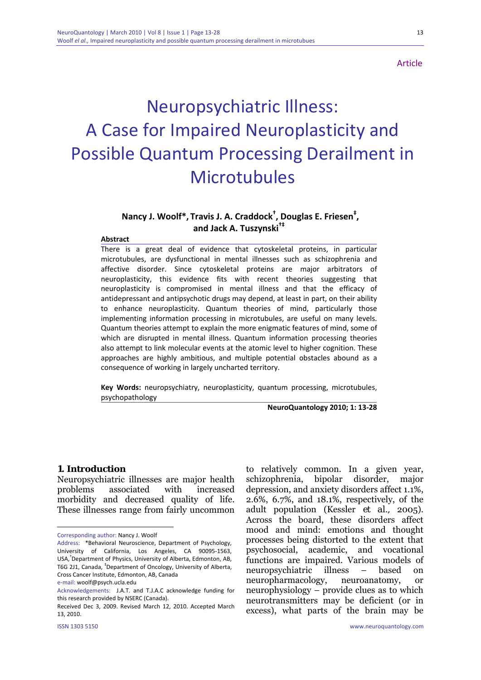**Article** 

# Neuropsychiatric Illness: A Case for Impaired Neuroplasticity and Possible Quantum Processing Derailment in Microtubules

# **Nancy J. Woolf\*, Travis J. A. Craddock† , Douglas E. Friesen‡ , and Jack A. Tuszynski†‡**

#### **Abstract**

There is a great deal of evidence that cytoskeletal proteins, in particular microtubules, are dysfunctional in mental illnesses such as schizophrenia and affective disorder. Since cytoskeletal proteins are major arbitrators of neuroplasticity, this evidence fits with recent theories suggesting that neuroplasticity is compromised in mental illness and that the efficacy of antidepressant and antipsychotic drugs may depend, at least in part, on their ability to enhance neuroplasticity. Quantum theories of mind, particularly those implementing information processing in microtubules, are useful on many levels. Quantum theories attempt to explain the more enigmatic features of mind, some of which are disrupted in mental illness. Quantum information processing theories also attempt to link molecular events at the atomic level to higher cognition. These approaches are highly ambitious, and multiple potential obstacles abound as a consequence of working in largely uncharted territory.

**Key Words:** neuropsychiatry, neuroplasticity, quantum processing, microtubules, psychopathology

**NeuroQuantology 2010; 1: 13‐28**

#### **1. Introduction**

Neuropsychiatric illnesses are major health problems associated with increased morbidity and decreased quality of life. These illnesses range from fairly uncommon

1

to relatively common. In a given year, schizophrenia, bipolar disorder, major depression, and anxiety disorders affect 1.1%, 2.6%, 6.7%, and 18.1%, respectively, of the adult population (Kessler *et al.,* 2005). Across the board, these disorders affect mood and mind: emotions and thought processes being distorted to the extent that psychosocial, academic, and vocational functions are impaired. Various models of neuropsychiatric illness – based on neuropharmacology, neuroanatomy, or neurophysiology – provide clues as to which neurotransmitters may be deficient (or in excess), what parts of the brain may be

Corresponding author: Nancy J. Woolf

Address: \*Behavioral Neuroscience, Department of Psychology, University of California, Los Angeles, CA 90095‐1563, USA,† Department of Physics, University of Alberta, Edmonton, AB, T6G 2J1, Canada, <sup>‡</sup>Department of Oncology, University of Alberta, Cross Cancer Institute, Edmonton, AB, Canada e‐mail: woolf@psych.ucla.edu

Acknowledgements: J.A.T. and T.J.A.C acknowledge funding for this research provided by NSERC (Canada).

Received Dec 3, 2009. Revised March 12, 2010. Accepted March 13, 2010.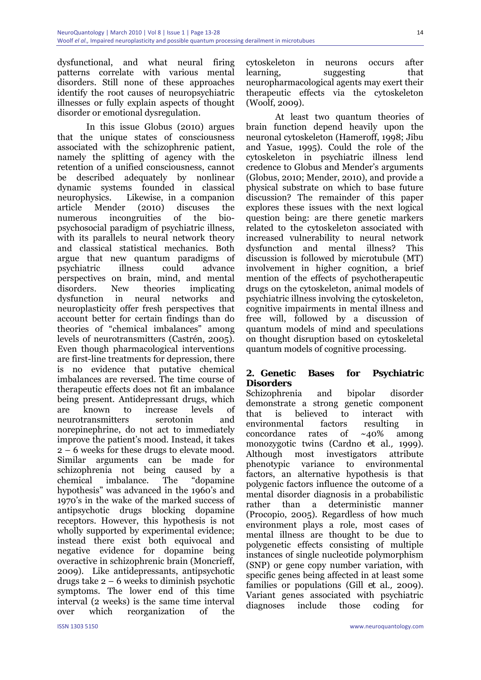dysfunctional, and what neural firing patterns correlate with various mental disorders. Still none of these approaches identify the root causes of neuropsychiatric illnesses or fully explain aspects of thought disorder or emotional dysregulation.

In this issue Globus (2010) argues that the unique states of consciousness associated with the schizophrenic patient, namely the splitting of agency with the retention of a unified consciousness, cannot be described adequately by nonlinear dynamic systems founded in classical neurophysics. Likewise, in a companion article Mender (2010) discuses the numerous incongruities of the biopsychosocial paradigm of psychiatric illness, with its parallels to neural network theory and classical statistical mechanics. Both argue that new quantum paradigms of psychiatric illness could advance perspectives on brain, mind, and mental disorders. New theories implicating dysfunction in neural networks and neuroplasticity offer fresh perspectives that account better for certain findings than do theories of "chemical imbalances" among levels of neurotransmitters (Castrén, 2005). Even though pharmacological interventions are first-line treatments for depression, there is no evidence that putative chemical imbalances are reversed. The time course of therapeutic effects does not fit an imbalance being present. Antidepressant drugs, which are known to increase levels of neurotransmitters serotonin and norepinephrine, do not act to immediately improve the patient's mood. Instead, it takes 2 – 6 weeks for these drugs to elevate mood. Similar arguments can be made for schizophrenia not being caused by a chemical imbalance. The "dopamine hypothesis" was advanced in the 1960's and 1970's in the wake of the marked success of antipsychotic drugs blocking dopamine receptors. However, this hypothesis is not wholly supported by experimental evidence; instead there exist both equivocal and negative evidence for dopamine being overactive in schizophrenic brain (Moncrieff, 2009). Like antidepressants, antipsychotic drugs take 2 – 6 weeks to diminish psychotic symptoms. The lower end of this time interval (2 weeks) is the same time interval over which reorganization of the

cytoskeleton in neurons occurs after learning, suggesting that neuropharmacological agents may exert their therapeutic effects via the cytoskeleton (Woolf, 2009).

At least two quantum theories of brain function depend heavily upon the neuronal cytoskeleton (Hameroff, 1998; Jibu and Yasue, 1995). Could the role of the cytoskeleton in psychiatric illness lend credence to Globus and Mender's arguments (Globus, 2010; Mender, 2010), and provide a physical substrate on which to base future discussion? The remainder of this paper explores these issues with the next logical question being: are there genetic markers related to the cytoskeleton associated with increased vulnerability to neural network dysfunction and mental illness? This discussion is followed by microtubule (MT) involvement in higher cognition, a brief mention of the effects of psychotherapeutic drugs on the cytoskeleton, animal models of psychiatric illness involving the cytoskeleton, cognitive impairments in mental illness and free will, followed by a discussion of quantum models of mind and speculations on thought disruption based on cytoskeletal quantum models of cognitive processing.

### **2. Genetic Bases for Psychiatric Disorders**

Schizophrenia and bipolar disorder demonstrate a strong genetic component that is believed to interact with environmental factors resulting in concordance rates of ~40% among monozygotic twins (Cardno *et al.,* 1999). Although most investigators attribute phenotypic variance to environmental factors, an alternative hypothesis is that polygenic factors influence the outcome of a mental disorder diagnosis in a probabilistic rather than a deterministic manner (Procopio, 2005). Regardless of how much environment plays a role, most cases of mental illness are thought to be due to polygenetic effects consisting of multiple instances of single nucleotide polymorphism (SNP) or gene copy number variation, with specific genes being affected in at least some families or populations (Gill *et al.,* 2009). Variant genes associated with psychiatric diagnoses include those coding for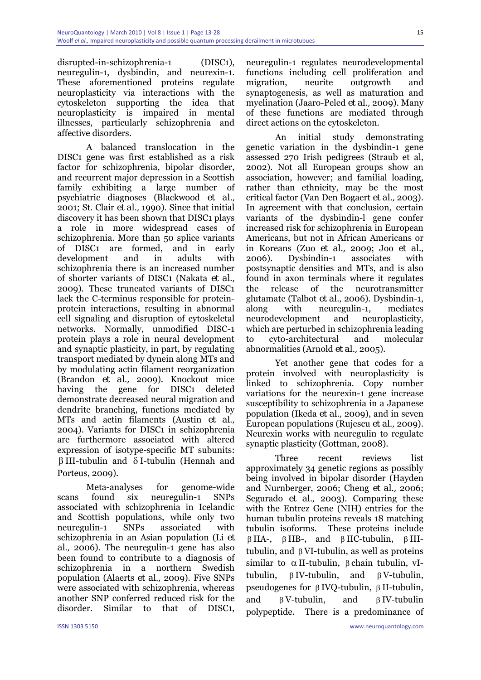disrupted-in-schizophrenia-1 (DISC1), neuregulin-1, dysbindin, and neurexin-1. These aforementioned proteins regulate neuroplasticity via interactions with the cytoskeleton supporting the idea that neuroplasticity is impaired in mental illnesses, particularly schizophrenia and affective disorders.

A balanced translocation in the DISC1 gene was first established as a risk factor for schizophrenia, bipolar disorder, and recurrent major depression in a Scottish family exhibiting a large number of psychiatric diagnoses (Blackwood *et al.,* 2001; St. Clair *et al.,* 1990). Since that initial discovery it has been shown that DISC1 plays a role in more widespread cases of schizophrenia. More than 50 splice variants of DISC1 are formed, and in early development and in adults with schizophrenia there is an increased number of shorter variants of DISC1 (Nakata *et al.,* 2009). These truncated variants of DISC1 lack the C-terminus responsible for proteinprotein interactions, resulting in abnormal cell signaling and disruption of cytoskeletal networks. Normally, unmodified DISC-1 protein plays a role in neural development and synaptic plasticity, in part, by regulating transport mediated by dynein along MTs and by modulating actin filament reorganization (Brandon *et al.,* 2009). Knockout mice having the gene for DISC1 deleted demonstrate decreased neural migration and dendrite branching, functions mediated by MTs and actin filaments (Austin *et al.,* 2004). Variants for DISC1 in schizophrenia are furthermore associated with altered expression of isotype-specific MT subunits: β III-tubulin and δ I-tubulin (Hennah and Porteus, 2009).

Meta-analyses for genome-wide scans found six neuregulin-1 SNPs associated with schizophrenia in Icelandic and Scottish populations, while only two neuregulin-1 SNPs associated with schizophrenia in an Asian population (Li *et al.,* 2006). The neuregulin-1 gene has also been found to contribute to a diagnosis of schizophrenia in a northern Swedish population (Alaerts *et al.,* 2009). Five SNPs were associated with schizophrenia, whereas another SNP conferred reduced risk for the disorder. Similar to that of DISC1,

neuregulin-1 regulates neurodevelopmental functions including cell proliferation and migration, neurite outgrowth and synaptogenesis, as well as maturation and myelination (Jaaro-Peled *et al.,* 2009). Many of these functions are mediated through direct actions on the cytoskeleton.

An initial study demonstrating genetic variation in the dysbindin-1 gene assessed 270 Irish pedigrees (Straub et al, 2002). Not all European groups show an association, however; and familial loading, rather than ethnicity, may be the most critical factor (Van Den Bogaert *et al.,* 2003). In agreement with that conclusion, certain variants of the dysbindin-l gene confer increased risk for schizophrenia in European Americans, but not in African Americans or in Koreans (Zuo *et al.,* 2009; Joo *et al.,* 2006). Dysbindin-1 associates with postsynaptic densities and MTs, and is also found in axon terminals where it regulates the release of the neurotransmitter glutamate (Talbot *et al.,* 2006). Dysbindin-1, along with neuregulin-1, mediates neurodevelopment and neuroplasticity, which are perturbed in schizophrenia leading to cyto-architectural and molecular abnormalities (Arnold *et al.,* 2005).

Yet another gene that codes for a protein involved with neuroplasticity is linked to schizophrenia. Copy number variations for the neurexin-1 gene increase susceptibility to schizophrenia in a Japanese population (Ikeda *et al.,* 2009), and in seven European populations (Rujescu *et al.,* 2009). Neurexin works with neuregulin to regulate synaptic plasticity (Gottman, 2008).

Three recent reviews list approximately 34 genetic regions as possibly being involved in bipolar disorder (Hayden and Nurnberger, 2006; Cheng *et al.,* 2006; Segurado *et al.,* 2003). Comparing these with the Entrez Gene (NIH) entries for the human tubulin proteins reveals 18 matching tubulin isoforms. These proteins include β IIA-, β IIB-, and β IIC-tubulin, β IIItubulin, and β VI-tubulin, as well as proteins similar to  $\alpha$  II-tubulin, β chain tubulin, vItubulin, β IV-tubulin, and β V-tubulin, pseudogenes for β IVQ-tubulin, β II-tubulin, and β V-tubulin, and β IV-tubulin polypeptide. There is a predominance of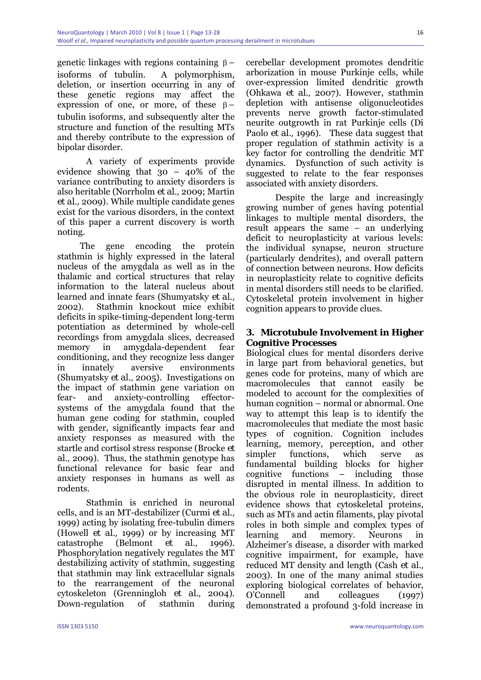genetic linkages with regions containing  $β$  – isoforms of tubulin. A polymorphism, deletion, or insertion occurring in any of these genetic regions may affect the expression of one, or more, of these  $\beta$  – tubulin isoforms, and subsequently alter the structure and function of the resulting MTs and thereby contribute to the expression of bipolar disorder.

A variety of experiments provide evidence showing that 30 – 40% of the variance contributing to anxiety disorders is also heritable (Norrholm *et al.,* 2009; Martin *et al.,* 2009). While multiple candidate genes exist for the various disorders, in the context of this paper a current discovery is worth noting.

 The gene encoding the protein stathmin is highly expressed in the lateral nucleus of the amygdala as well as in the thalamic and cortical structures that relay information to the lateral nucleus about learned and innate fears (Shumyatsky *et al.,* 2002). Stathmin knockout mice exhibit deficits in spike-timing-dependent long-term potentiation as determined by whole-cell recordings from amygdala slices, decreased memory in amygdala-dependent fear conditioning, and they recognize less danger in innately aversive environments (Shumyatsky *et al.,* 2005). Investigations on the impact of stathmin gene variation on fear- and anxiety-controlling effectorsystems of the amygdala found that the human gene coding for stathmin, coupled with gender, significantly impacts fear and anxiety responses as measured with the startle and cortisol stress response (Brocke *et al.,* 2009). Thus, the stathmin genotype has functional relevance for basic fear and anxiety responses in humans as well as rodents.

Stathmin is enriched in neuronal cells, and is an MT-destabilizer (Curmi *et al.,* 1999) acting by isolating free-tubulin dimers (Howell *et al.,* 1999) or by increasing MT catastrophe (Belmont *et al.,* 1996). Phosphorylation negatively regulates the MT destabilizing activity of stathmin, suggesting that stathmin may link extracellular signals to the rearrangement of the neuronal cytoskeleton (Grenningloh *et al.,* 2004). Down-regulation of stathmin during

cerebellar development promotes dendritic arborization in mouse Purkinje cells, while over-expression limited dendritic growth (Ohkawa *et al.,* 2007). However, stathmin depletion with antisense oligonucleotides prevents nerve growth factor-stimulated neurite outgrowth in rat Purkinje cells (Di Paolo *et al.,* 1996). These data suggest that proper regulation of stathmin activity is a key factor for controlling the dendritic MT dynamics. Dysfunction of such activity is suggested to relate to the fear responses associated with anxiety disorders.

Despite the large and increasingly growing number of genes having potential linkages to multiple mental disorders, the result appears the same – an underlying deficit to neuroplasticity at various levels: the individual synapse, neuron structure (particularly dendrites), and overall pattern of connection between neurons. How deficits in neuroplasticity relate to cognitive deficits in mental disorders still needs to be clarified. Cytoskeletal protein involvement in higher cognition appears to provide clues.

### **3. Microtubule Involvement in Higher Cognitive Processes**

Biological clues for mental disorders derive in large part from behavioral genetics, but genes code for proteins, many of which are macromolecules that cannot easily be modeled to account for the complexities of human cognition – normal or abnormal. One way to attempt this leap is to identify the macromolecules that mediate the most basic types of cognition. Cognition includes learning, memory, perception, and other simpler functions, which serve as fundamental building blocks for higher cognitive functions – including those disrupted in mental illness. In addition to the obvious role in neuroplasticity, direct evidence shows that cytoskeletal proteins, such as MTs and actin filaments, play pivotal roles in both simple and complex types of learning and memory. Neurons in Alzheimer's disease, a disorder with marked cognitive impairment, for example, have reduced MT density and length (Cash *et al.,* 2003). In one of the many animal studies exploring biological correlates of behavior, O'Connell and colleagues (1997) demonstrated a profound 3-fold increase in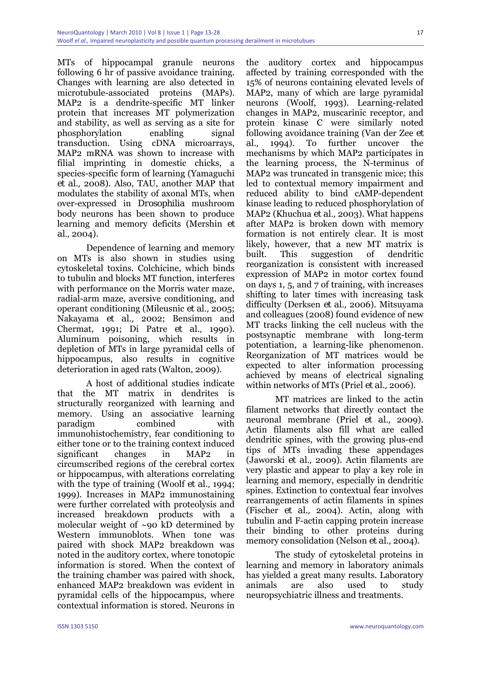MTs of hippocampal granule neurons following 6 hr of passive avoidance training. Changes with learning are also detected in microtubule-associated proteins (MAPs). MAP2 is a dendrite-specific MT linker protein that increases MT polymerization and stability, as well as serving as a site for phosphorylation enabling signal transduction. Using cDNA microarrays, MAP2 mRNA was shown to increase with filial imprinting in domestic chicks, a species-specific form of learning (Yamaguchi *et al.,* 2008). Also, TAU, another MAP that modulates the stability of axonal MTs, when over-expressed in *Drosophilia* mushroom body neurons has been shown to produce learning and memory deficits (Mershin *et al.,* 2004).

Dependence of learning and memory on MTs is also shown in studies using cytoskeletal toxins. Colchicine, which binds to tubulin and blocks MT function, interferes with performance on the Morris water maze, radial-arm maze, aversive conditioning, and operant conditioning (Mileusnic *et al.,* 2005; Nakayama *et al.,* 2002; Bensimon and Chermat, 1991; Di Patre *et al.,* 1990). Aluminum poisoning, which results in depletion of MTs in large pyramidal cells of hippocampus, also results in cognitive deterioration in aged rats (Walton, 2009).

A host of additional studies indicate that the MT matrix in dendrites is structurally reorganized with learning and memory. Using an associative learning paradigm combined with immunohistochemistry, fear conditioning to either tone or to the training context induced significant changes in MAP2 in circumscribed regions of the cerebral cortex or hippocampus, with alterations correlating with the type of training (Woolf *et al.,* 1994; 1999). Increases in MAP2 immunostaining were further correlated with proteolysis and increased breakdown products with a molecular weight of ~90 kD determined by Western immunoblots. When tone was paired with shock MAP2 breakdown was noted in the auditory cortex, where tonotopic information is stored. When the context of the training chamber was paired with shock, enhanced MAP2 breakdown was evident in pyramidal cells of the hippocampus, where contextual information is stored. Neurons in

the auditory cortex and hippocampus affected by training corresponded with the 15% of neurons containing elevated levels of MAP2, many of which are large pyramidal neurons (Woolf, 1993). Learning-related changes in MAP2, muscarinic receptor, and protein kinase C were similarly noted following avoidance training (Van der Zee *et al.,* 1994). To further uncover the mechanisms by which MAP2 participates in the learning process, the N-terminus of MAP2 was truncated in transgenic mice; this led to contextual memory impairment and reduced ability to bind cAMP-dependent kinase leading to reduced phosphorylation of MAP2 (Khuchua *et al.,* 2003). What happens after MAP2 is broken down with memory formation is not entirely clear. It is most likely, however, that a new MT matrix is built. This suggestion of dendritic reorganization is consistent with increased expression of MAP2 in motor cortex found on days 1, 5, and 7 of training, with increases shifting to later times with increasing task difficulty (Derksen *et al.,* 2006). Mitsuyama and colleagues (2008) found evidence of new MT tracks linking the cell nucleus with the postsynaptic membrane with long-term potentiation, a learning-like phenomenon. Reorganization of MT matrices would be expected to alter information processing achieved by means of electrical signaling within networks of MTs (Priel *et al.,* 2006).

MT matrices are linked to the actin filament networks that directly contact the neuronal membrane (Priel *et al.,* 2009). Actin filaments also fill what are called dendritic spines, with the growing plus-end tips of MTs invading these appendages (Jaworski *et al.,* 2009). Actin filaments are very plastic and appear to play a key role in learning and memory, especially in dendritic spines. Extinction to contextual fear involves rearrangements of actin filaments in spines (Fischer *et al.,* 2004). Actin, along with tubulin and F-actin capping protein increase their binding to other proteins during memory consolidation (Nelson *et al.,* 2004).

The study of cytoskeletal proteins in learning and memory in laboratory animals has yielded a great many results. Laboratory animals are also used to study neuropsychiatric illness and treatments.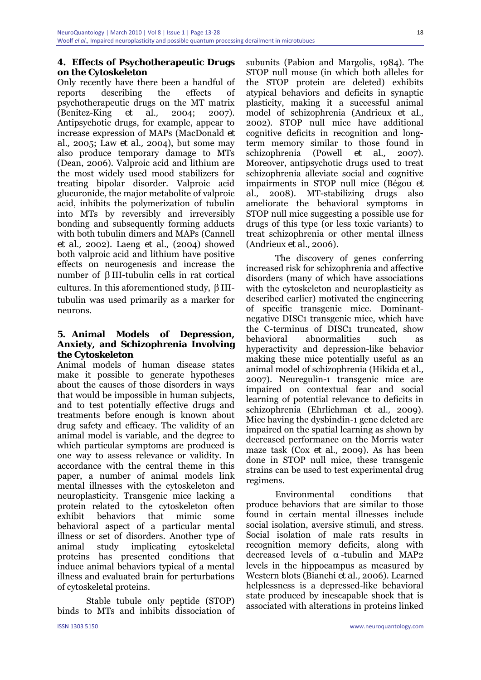## **4. Effects of Psychotherapeutic Drugs on the Cytoskeleton**

Only recently have there been a handful of reports describing the effects of psychotherapeutic drugs on the MT matrix (Benitez-King *et al.,* 2004; 2007). Antipsychotic drugs, for example, appear to increase expression of MAPs (MacDonald *et al.,* 2005; Law *et al.,* 2004), but some may also produce temporary damage to MTs (Dean, 2006). Valproic acid and lithium are the most widely used mood stabilizers for treating bipolar disorder. Valproic acid glucuronide, the major metabolite of valproic acid, inhibits the polymerization of tubulin into MTs by reversibly and irreversibly bonding and subsequently forming adducts with both tubulin dimers and MAPs (Cannell *et al.,* 2002). Laeng *et al.,* (2004) showed both valproic acid and lithium have positive effects on neurogenesis and increase the number of β III-tubulin cells in rat cortical cultures. In this aforementioned study, β IIItubulin was used primarily as a marker for neurons.

## **5. Animal Models of Depression, Anxiety, and Schizophrenia Involving the Cytoskeleton**

Animal models of human disease states make it possible to generate hypotheses about the causes of those disorders in ways that would be impossible in human subjects, and to test potentially effective drugs and treatments before enough is known about drug safety and efficacy. The validity of an animal model is variable, and the degree to which particular symptoms are produced is one way to assess relevance or validity. In accordance with the central theme in this paper, a number of animal models link mental illnesses with the cytoskeleton and neuroplasticity. Transgenic mice lacking a protein related to the cytoskeleton often exhibit behaviors that mimic some behavioral aspect of a particular mental illness or set of disorders. Another type of animal study implicating cytoskeletal proteins has presented conditions that induce animal behaviors typical of a mental illness and evaluated brain for perturbations of cytoskeletal proteins.

Stable tubule only peptide (STOP) binds to MTs and inhibits dissociation of subunits (Pabion and Margolis, 1984). The STOP null mouse (in which both alleles for the STOP protein are deleted) exhibits atypical behaviors and deficits in synaptic plasticity, making it a successful animal model of schizophrenia (Andrieux *et al.,* 2002). STOP null mice have additional cognitive deficits in recognition and longterm memory similar to those found in schizophrenia (Powell *et al.,* 2007). Moreover, antipsychotic drugs used to treat schizophrenia alleviate social and cognitive impairments in STOP null mice (Bégou *et al.,* 2008). MT-stabilizing drugs also ameliorate the behavioral symptoms in STOP null mice suggesting a possible use for drugs of this type (or less toxic variants) to treat schizophrenia or other mental illness (Andrieux *et al.,* 2006).

The discovery of genes conferring increased risk for schizophrenia and affective disorders (many of which have associations with the cytoskeleton and neuroplasticity as described earlier) motivated the engineering of specific transgenic mice. Dominantnegative DISC1 transgenic mice, which have the C-terminus of DISC1 truncated, show behavioral abnormalities such as hyperactivity and depression-like behavior making these mice potentially useful as an animal model of schizophrenia (Hikida *et al.,* 2007). Neuregulin-1 transgenic mice are impaired on contextual fear and social learning of potential relevance to deficits in schizophrenia (Ehrlichman *et al.,* 2009). Mice having the dysbindin-1 gene deleted are impaired on the spatial learning as shown by decreased performance on the Morris water maze task (Cox *et al.,* 2009). As has been done in STOP null mice, these transgenic strains can be used to test experimental drug regimens.

Environmental conditions that produce behaviors that are similar to those found in certain mental illnesses include social isolation, aversive stimuli, and stress. Social isolation of male rats results in recognition memory deficits, along with decreased levels of  $\alpha$ -tubulin and MAP2 levels in the hippocampus as measured by Western blots (Bianchi *et al.,* 2006). Learned helplessness is a depressed-like behavioral state produced by inescapable shock that is associated with alterations in proteins linked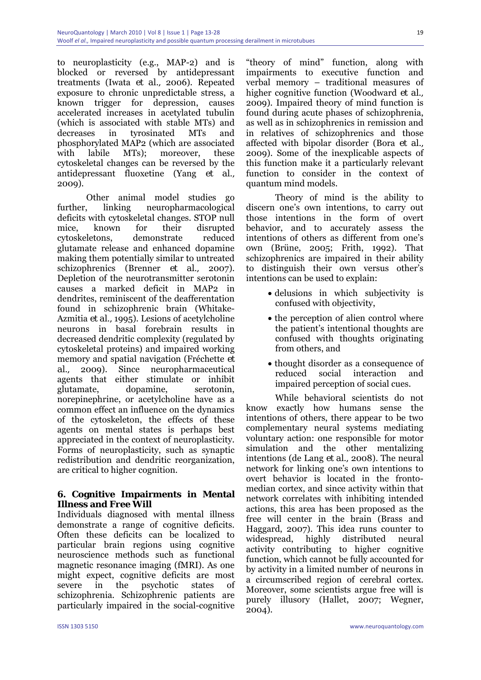to neuroplasticity (e.g., MAP-2) and is blocked or reversed by antidepressant treatments (Iwata *et al.,* 2006). Repeated exposure to chronic unpredictable stress, a known trigger for depression, causes accelerated increases in acetylated tubulin (which is associated with stable MTs) and decreases in tyrosinated MTs and phosphorylated MAP2 (which are associated with labile MTs); moreover, these cytoskeletal changes can be reversed by the antidepressant fluoxetine (Yang *et al.,* 2009).

Other animal model studies go further, linking neuropharmacological deficits with cytoskeletal changes. STOP null mice, known for their disrupted cytoskeletons, demonstrate reduced glutamate release and enhanced dopamine making them potentially similar to untreated schizophrenics (Brenner *et al.,* 2007). Depletion of the neurotransmitter serotonin causes a marked deficit in MAP2 in dendrites, reminiscent of the deafferentation found in schizophrenic brain (Whitake-Azmitia *et al.,* 1995). Lesions of acetylcholine neurons in basal forebrain results in decreased dendritic complexity (regulated by cytoskeletal proteins) and impaired working memory and spatial navigation (Fréchette *et al.,* 2009). Since neuropharmaceutical agents that either stimulate or inhibit glutamate, dopamine, serotonin, norepinephrine, or acetylcholine have as a common effect an influence on the dynamics of the cytoskeleton, the effects of these agents on mental states is perhaps best appreciated in the context of neuroplasticity. Forms of neuroplasticity, such as synaptic redistribution and dendritic reorganization, are critical to higher cognition.

### **6. Cognitive Impairments in Mental Illness and Free Will**

Individuals diagnosed with mental illness demonstrate a range of cognitive deficits. Often these deficits can be localized to particular brain regions using cognitive neuroscience methods such as functional magnetic resonance imaging (fMRI). As one might expect, cognitive deficits are most severe in the psychotic states of schizophrenia. Schizophrenic patients are particularly impaired in the social-cognitive

"theory of mind" function, along with impairments to executive function and verbal memory – traditional measures of higher cognitive function (Woodward *et al.,* 2009). Impaired theory of mind function is found during acute phases of schizophrenia, as well as in schizophrenics in remission and in relatives of schizophrenics and those affected with bipolar disorder (Bora *et al.,* 2009). Some of the inexplicable aspects of this function make it a particularly relevant function to consider in the context of quantum mind models.

Theory of mind is the ability to discern one's own intentions, to carry out those intentions in the form of overt behavior, and to accurately assess the intentions of others as different from one's own (Brüne, 2005; Frith, 1992). That schizophrenics are impaired in their ability to distinguish their own versus other's intentions can be used to explain:

- delusions in which subjectivity is confused with objectivity,
- the perception of alien control where the patient's intentional thoughts are confused with thoughts originating from others, and
- thought disorder as a consequence of reduced social interaction and impaired perception of social cues.

While behavioral scientists do not know exactly how humans sense the intentions of others, there appear to be two complementary neural systems mediating voluntary action: one responsible for motor simulation and the other mentalizing intentions (de Lang *et al.,* 2008). The neural network for linking one's own intentions to overt behavior is located in the frontomedian cortex, and since activity within that network correlates with inhibiting intended actions, this area has been proposed as the free will center in the brain (Brass and Haggard, 2007). This idea runs counter to widespread, highly distributed neural activity contributing to higher cognitive function, which cannot be fully accounted for by activity in a limited number of neurons in a circumscribed region of cerebral cortex. Moreover, some scientists argue free will is purely illusory (Hallet, 2007; Wegner, 2004).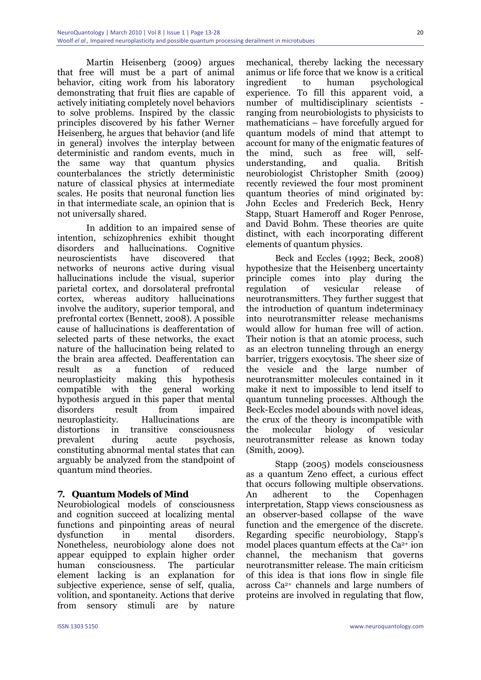Martin Heisenberg (2009) argues that free will must be a part of animal behavior, citing work from his laboratory demonstrating that fruit flies are capable of actively initiating completely novel behaviors to solve problems. Inspired by the classic principles discovered by his father Werner Heisenberg, he argues that behavior (and life in general) involves the interplay between deterministic and random events, much in the same way that quantum physics counterbalances the strictly deterministic nature of classical physics at intermediate scales. He posits that neuronal function lies in that intermediate scale, an opinion that is not universally shared.

In addition to an impaired sense of intention, schizophrenics exhibit thought disorders and hallucinations. Cognitive neuroscientists have discovered that networks of neurons active during visual hallucinations include the visual, superior parietal cortex, and dorsolateral prefrontal cortex, whereas auditory hallucinations involve the auditory, superior temporal, and prefrontal cortex (Bennett, 2008). A possible cause of hallucinations is deafferentation of selected parts of these networks, the exact nature of the hallucination being related to the brain area affected. Deafferentation can result as a function of reduced neuroplasticity making this hypothesis compatible with the general working hypothesis argued in this paper that mental disorders result from impaired neuroplasticity. Hallucinations are distortions in transitive consciousness prevalent during acute psychosis, constituting abnormal mental states that can arguably be analyzed from the standpoint of quantum mind theories.

# **7. Quantum Models of Mind**

Neurobiological models of consciousness and cognition succeed at localizing mental functions and pinpointing areas of neural dysfunction in mental disorders. Nonetheless, neurobiology alone does not appear equipped to explain higher order human consciousness. The particular element lacking is an explanation for subjective experience, sense of self, qualia, volition, and spontaneity. Actions that derive from sensory stimuli are by nature

mechanical, thereby lacking the necessary animus or life force that we know is a critical ingredient to human psychological experience. To fill this apparent void, a number of multidisciplinary scientists ranging from neurobiologists to physicists to mathematicians – have forcefully argued for quantum models of mind that attempt to account for many of the enigmatic features of the mind, such as free will, selfunderstanding, and qualia. British neurobiologist Christopher Smith (2009) recently reviewed the four most prominent quantum theories of mind originated by: John Eccles and Frederich Beck, Henry Stapp, Stuart Hameroff and Roger Penrose, and David Bohm. These theories are quite distinct, with each incorporating different elements of quantum physics.

Beck and Eccles (1992; Beck, 2008) hypothesize that the Heisenberg uncertainty principle comes into play during the regulation of vesicular release of neurotransmitters. They further suggest that the introduction of quantum indeterminacy into neurotransmitter release mechanisms would allow for human free will of action. Their notion is that an atomic process, such as an electron tunneling through an energy barrier, triggers exocytosis. The sheer size of the vesicle and the large number of neurotransmitter molecules contained in it make it next to impossible to lend itself to quantum tunneling processes. Although the Beck-Eccles model abounds with novel ideas, the crux of the theory is incompatible with the molecular biology of vesicular neurotransmitter release as known today (Smith, 2009).

Stapp (2005) models consciousness as a quantum Zeno effect, a curious effect that occurs following multiple observations. An adherent to the Copenhagen interpretation, Stapp views consciousness as an observer-based collapse of the wave function and the emergence of the discrete. Regarding specific neurobiology, Stapp's model places quantum effects at the  $Ca^{2+}$  ion channel, the mechanism that governs neurotransmitter release. The main criticism of this idea is that ions flow in single file across Ca2+ channels and large numbers of proteins are involved in regulating that flow,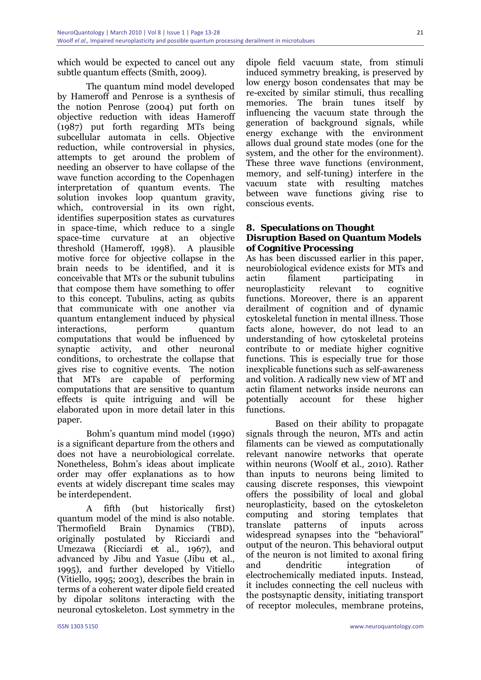which would be expected to cancel out any subtle quantum effects (Smith, 2009).

The quantum mind model developed by Hameroff and Penrose is a synthesis of the notion Penrose (2004) put forth on objective reduction with ideas Hameroff (1987) put forth regarding MTs being subcellular automata in cells. Objective reduction, while controversial in physics, attempts to get around the problem of needing an observer to have collapse of the wave function according to the Copenhagen interpretation of quantum events. The solution invokes loop quantum gravity, which, controversial in its own right, identifies superposition states as curvatures in space-time, which reduce to a single space-time curvature at an objective threshold (Hameroff, 1998). A plausible motive force for objective collapse in the brain needs to be identified, and it is conceivable that MTs or the subunit tubulins that compose them have something to offer to this concept. Tubulins, acting as qubits that communicate with one another via quantum entanglement induced by physical interactions, perform quantum computations that would be influenced by synaptic activity, and other neuronal conditions, to orchestrate the collapse that gives rise to cognitive events. The notion that MTs are capable of performing computations that are sensitive to quantum effects is quite intriguing and will be elaborated upon in more detail later in this paper.

Bohm's quantum mind model (1990) is a significant departure from the others and does not have a neurobiological correlate. Nonetheless, Bohm's ideas about implicate order may offer explanations as to how events at widely discrepant time scales may be interdependent.

A fifth (but historically first) quantum model of the mind is also notable. Thermofield Brain Dynamics (TBD), originally postulated by Ricciardi and Umezawa (Ricciardi *et al.,* 1967), and advanced by Jibu and Yasue (Jibu *et al.,* 1995), and further developed by Vitiello (Vitiello, 1995; 2003), describes the brain in terms of a coherent water dipole field created by dipolar solitons interacting with the neuronal cytoskeleton. Lost symmetry in the

dipole field vacuum state, from stimuli induced symmetry breaking, is preserved by low energy boson condensates that may be re-excited by similar stimuli, thus recalling memories. The brain tunes itself by influencing the vacuum state through the generation of background signals, while energy exchange with the environment allows dual ground state modes (one for the system, and the other for the environment). These three wave functions (environment, memory, and self-tuning) interfere in the vacuum state with resulting matches between wave functions giving rise to conscious events.

#### **8. Speculations on Thought Disruption Based on Quantum Models of Cognitive Processing**

As has been discussed earlier in this paper, neurobiological evidence exists for MTs and actin filament participating in neuroplasticity relevant to cognitive functions. Moreover, there is an apparent derailment of cognition and of dynamic cytoskeletal function in mental illness. Those facts alone, however, do not lead to an understanding of how cytoskeletal proteins contribute to or mediate higher cognitive functions. This is especially true for those inexplicable functions such as self-awareness and volition. A radically new view of MT and actin filament networks inside neurons can potentially account for these higher functions.

Based on their ability to propagate signals through the neuron, MTs and actin filaments can be viewed as computationally relevant nanowire networks that operate within neurons (Woolf *et al.,* 2010). Rather than inputs to neurons being limited to causing discrete responses, this viewpoint offers the possibility of local and global neuroplasticity, based on the cytoskeleton computing and storing templates that translate patterns of inputs across widespread synapses into the "behavioral" output of the neuron. This behavioral output of the neuron is not limited to axonal firing and dendritic integration of electrochemically mediated inputs. Instead, it includes connecting the cell nucleus with the postsynaptic density, initiating transport of receptor molecules, membrane proteins,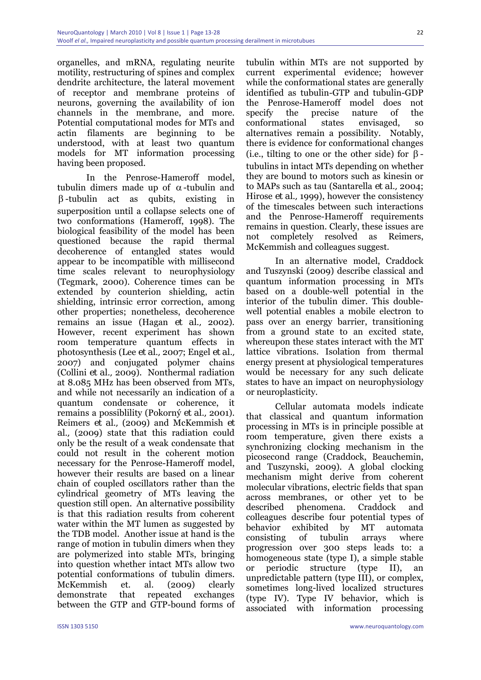organelles, and mRNA, regulating neurite motility, restructuring of spines and complex dendrite architecture, the lateral movement of receptor and membrane proteins of neurons, governing the availability of ion channels in the membrane, and more. Potential computational modes for MTs and actin filaments are beginning to be understood, with at least two quantum models for MT information processing having been proposed.

In the Penrose-Hameroff model, tubulin dimers made up of α-tubulin and β -tubulin act as qubits, existing in superposition until a collapse selects one of two conformations (Hameroff, 1998). The biological feasibility of the model has been questioned because the rapid thermal decoherence of entangled states would appear to be incompatible with millisecond time scales relevant to neurophysiology (Tegmark, 2000). Coherence times can be extended by counterion shielding, actin shielding, intrinsic error correction, among other properties; nonetheless, decoherence remains an issue (Hagan *et al.,* 2002). However, recent experiment has shown room temperature quantum effects in photosynthesis (Lee *et al.,* 2007; Engel *et al.,* 2007) and conjugated polymer chains (Collini *et al.,* 2009). Nonthermal radiation at 8.085 MHz has been observed from MTs, and while not necessarily an indication of a quantum condensate or coherence, it remains a possiblility (Pokorný *et al.,* 2001). Reimers *et al.,* (2009) and McKemmish *et al.,* (2009) state that this radiation could only be the result of a weak condensate that could not result in the coherent motion necessary for the Penrose-Hameroff model, however their results are based on a linear chain of coupled oscillators rather than the cylindrical geometry of MTs leaving the question still open. An alternative possibility is that this radiation results from coherent water within the MT lumen as suggested by the TDB model. Another issue at hand is the range of motion in tubulin dimers when they are polymerized into stable MTs, bringing into question whether intact MTs allow two potential conformations of tubulin dimers. McKemmish et. al. (2009) clearly demonstrate that repeated exchanges between the GTP and GTP-bound forms of

tubulin within MTs are not supported by current experimental evidence; however while the conformational states are generally identified as tubulin-GTP and tubulin-GDP the Penrose-Hameroff model does not specify the precise nature of the conformational states envisaged, so alternatives remain a possibility. Notably, there is evidence for conformational changes (i.e., tilting to one or the other side) for  $\beta$ tubulins in intact MTs depending on whether they are bound to motors such as kinesin or to MAPs such as tau (Santarella *et al.,* 2004; Hirose *et al.,* 1999), however the consistency of the timescales between such interactions and the Penrose-Hameroff requirements remains in question. Clearly, these issues are not completely resolved as Reimers, McKemmish and colleagues suggest.

In an alternative model, Craddock and Tuszynski (2009) describe classical and quantum information processing in MTs based on a double-well potential in the interior of the tubulin dimer. This doublewell potential enables a mobile electron to pass over an energy barrier, transitioning from a ground state to an excited state, whereupon these states interact with the MT lattice vibrations. Isolation from thermal energy present at physiological temperatures would be necessary for any such delicate states to have an impact on neurophysiology or neuroplasticity.

Cellular automata models indicate that classical and quantum information processing in MTs is in principle possible at room temperature, given there exists a synchronizing clocking mechanism in the picosecond range (Craddock, Beauchemin, and Tuszynski, 2009). A global clocking mechanism might derive from coherent molecular vibrations, electric fields that span across membranes, or other yet to be described phenomena. Craddock and colleagues describe four potential types of behavior exhibited by MT automata consisting of tubulin arrays where progression over 300 steps leads to: a homogeneous state (type I), a simple stable or periodic structure (type II), an unpredictable pattern (type III), or complex, sometimes long-lived localized structures (type IV). Type IV behavior, which is associated with information processing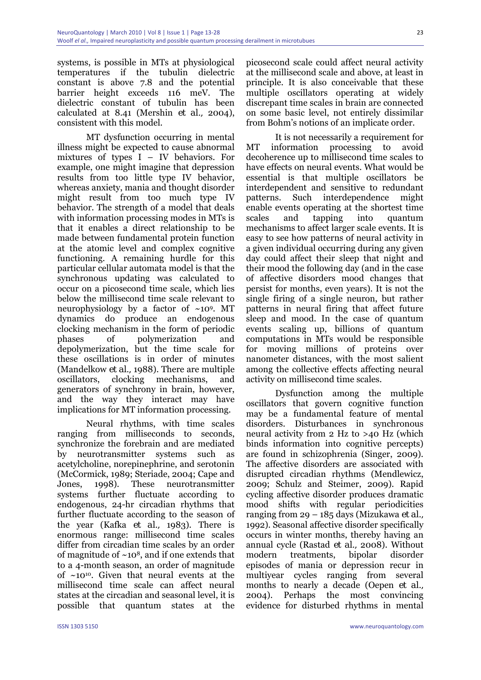systems, is possible in MTs at physiological temperatures if the tubulin dielectric constant is above 7.8 and the potential barrier height exceeds 116 meV. The dielectric constant of tubulin has been calculated at 8.41 (Mershin *et al.,* 2004), consistent with this model.

MT dysfunction occurring in mental illness might be expected to cause abnormal mixtures of types I – IV behaviors. For example, one might imagine that depression results from too little type IV behavior, whereas anxiety, mania and thought disorder might result from too much type IV behavior. The strength of a model that deals with information processing modes in MTs is that it enables a direct relationship to be made between fundamental protein function at the atomic level and complex cognitive functioning. A remaining hurdle for this particular cellular automata model is that the synchronous updating was calculated to occur on a picosecond time scale, which lies below the millisecond time scale relevant to neurophysiology by a factor of  $~10^9$ . MT dynamics do produce an endogenous clocking mechanism in the form of periodic phases of polymerization and depolymerization, but the time scale for these oscillations is in order of minutes (Mandelkow *et al.,* 1988). There are multiple oscillators, clocking mechanisms, and generators of synchrony in brain, however, and the way they interact may have implications for MT information processing.

Neural rhythms, with time scales ranging from milliseconds to seconds, synchronize the forebrain and are mediated by neurotransmitter systems such as acetylcholine, norepinephrine, and serotonin (McCormick, 1989; Steriade, 2004; Cape and Jones, 1998). These neurotransmitter systems further fluctuate according to endogenous, 24-hr circadian rhythms that further fluctuate according to the season of the year (Kafka *et al.,* 1983). There is enormous range: millisecond time scales differ from circadian time scales by an order of magnitude of  $\sim 10^8$ , and if one extends that to a 4-month season, an order of magnitude of  $~10^{10}$ . Given that neural events at the millisecond time scale can affect neural states at the circadian and seasonal level, it is possible that quantum states at the

picosecond scale could affect neural activity at the millisecond scale and above, at least in principle. It is also conceivable that these multiple oscillators operating at widely discrepant time scales in brain are connected on some basic level, not entirely dissimilar from Bohm's notions of an implicate order.

It is not necessarily a requirement for MT information processing to avoid decoherence up to millisecond time scales to have effects on neural events. What would be essential is that multiple oscillators be interdependent and sensitive to redundant patterns. Such interdependence might enable events operating at the shortest time scales and tapping into quantum mechanisms to affect larger scale events. It is easy to see how patterns of neural activity in a given individual occurring during any given day could affect their sleep that night and their mood the following day (and in the case of affective disorders mood changes that persist for months, even years). It is not the single firing of a single neuron, but rather patterns in neural firing that affect future sleep and mood. In the case of quantum events scaling up, billions of quantum computations in MTs would be responsible for moving millions of proteins over nanometer distances, with the most salient among the collective effects affecting neural activity on millisecond time scales.

Dysfunction among the multiple oscillators that govern cognitive function may be a fundamental feature of mental disorders. Disturbances in synchronous neural activity from 2 Hz to >40 Hz (which binds information into cognitive percepts) are found in schizophrenia (Singer, 2009). The affective disorders are associated with disrupted circadian rhythms (Mendlewicz, 2009; Schulz and Steimer, 2009). Rapid cycling affective disorder produces dramatic mood shifts with regular periodicities ranging from 29 – 185 days (Mizukawa *et al.,* 1992). Seasonal affective disorder specifically occurs in winter months, thereby having an annual cycle (Rastad *et al.,* 2008). Without modern treatments, bipolar disorder episodes of mania or depression recur in multiyear cycles ranging from several months to nearly a decade (Oepen *et al.,* 2004). Perhaps the most convincing evidence for disturbed rhythms in mental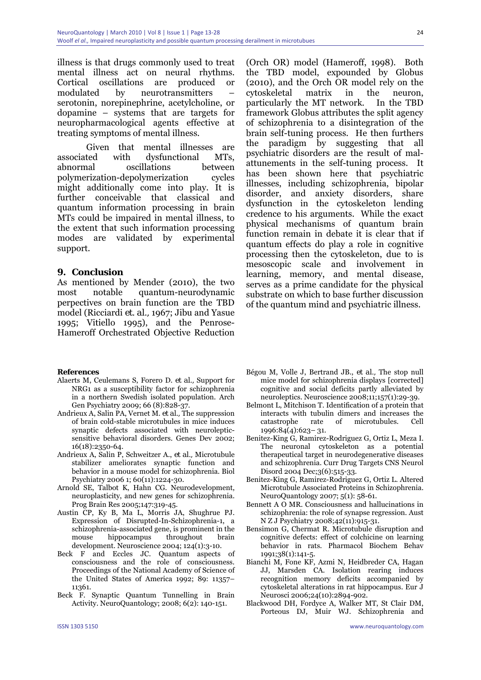illness is that drugs commonly used to treat mental illness act on neural rhythms. Cortical oscillations are produced or modulated by neurotransmitters – serotonin, norepinephrine, acetylcholine, or dopamine – systems that are targets for neuropharmacological agents effective at treating symptoms of mental illness.

Given that mental illnesses are associated with dysfunctional MTs, abnormal oscillations between polymerization-depolymerization cycles might additionally come into play. It is further conceivable that classical and quantum information processing in brain MTs could be impaired in mental illness, to the extent that such information processing modes are validated by experimental support.

#### **9. Conclusion**

As mentioned by Mender (2010), the two most notable quantum-neurodynamic perpectives on brain function are the TBD model (Ricciardi *et. al.,* 1967; Jibu and Yasue 1995; Vitiello 1995), and the Penrose-Hameroff Orchestrated Objective Reduction

#### **References**

- Alaerts M, Ceulemans S, Forero D. *et al.,* Support for NRG1 as a susceptibility factor for schizophrenia in a northern Swedish isolated population. Arch Gen Psychiatry 2009; 66 (8):828-37.
- Andrieux A, Salin PA, Vernet M. *et al.,* The suppression of brain cold-stable microtubules in mice induces synaptic defects associated with neurolepticsensitive behavioral disorders. Genes Dev 2002; 16(18):2350-64.
- Andrieux A, Salin P, Schweitzer A., *et al.,* Microtubule stabilizer ameliorates synaptic function and behavior in a mouse model for schizophrenia. Biol Psychiatry 2006 1; 60(11):1224-30.
- Arnold SE, Talbot K, Hahn CG. Neurodevelopment, neuroplasticity, and new genes for schizophrenia. Prog Brain Res 2005;147:319-45.
- Austin CP, Ky B, Ma L, Morris JA, Shughrue PJ. Expression of Disrupted-In-Schizophrenia-1, a schizophrenia-associated gene, is prominent in the mouse hippocampus throughout brain development. Neuroscience 2004; 124(1):3-10.
- Beck F and Eccles JC. Quantum aspects of consciousness and the role of consciousness. Proceedings of the National Academy of Science of the United States of America 1992; 89: 11357– 11361.
- Beck F. Synaptic Quantum Tunnelling in Brain Activity. NeuroQuantology; 2008; 6(2): 140-151.

(Orch OR) model (Hameroff, 1998). Both the TBD model, expounded by Globus (2010), and the Orch OR model rely on the cytoskeletal matrix in the neuron, particularly the MT network. In the TBD framework Globus attributes the split agency of schizophrenia to a disintegration of the brain self-tuning process. He then furthers the paradigm by suggesting that all psychiatric disorders are the result of malattunements in the self-tuning process. It has been shown here that psychiatric illnesses, including schizophrenia, bipolar disorder, and anxiety disorders, share dysfunction in the cytoskeleton lending credence to his arguments. While the exact physical mechanisms of quantum brain function remain in debate it is clear that if quantum effects do play a role in cognitive processing then the cytoskeleton, due to is mesoscopic scale and involvement in learning, memory, and mental disease, serves as a prime candidate for the physical substrate on which to base further discussion of the quantum mind and psychiatric illness.

- Bégou M, Volle J, Bertrand JB., *et al.,* The stop null mice model for schizophrenia displays [corrected] cognitive and social deficits partly alleviated by neuroleptics. Neuroscience 2008;11;157(1):29-39.
- Belmont L, Mitchison T. Identification of a protein that interacts with tubulin dimers and increases the catastrophe rate of microtubules. Cell 1996:84(4):623– 31.
- Benitez-King G, Ramirez-Rodriguez G, Ortiz L, Meza I. The neuronal cytoskeleton as a potential therapeutical target in neurodegenerative diseases and schizophrenia. Curr Drug Targets CNS Neurol Disord 2004 Dec;3(6):515-33.
- Benitez-King G, Ramirez-Rodriguez G, Ortiz L. Altered Microtubule Associated Proteins in Schizophrenia. NeuroQuantology 2007; 5(1): 58-61.
- Bennett A O MR. Consciousness and hallucinations in schizophrenia: the role of synapse regression. Aust N Z J Psychiatry 2008;42(11):915-31.
- Bensimon G, Chermat R. Microtubule disruption and cognitive defects: effect of colchicine on learning behavior in rats. Pharmacol Biochem Behav 1991;38(1):141-5.
- Bianchi M, Fone KF, Azmi N, Heidbreder CA, Hagan JJ, Marsden CA. Isolation rearing induces recognition memory deficits accompanied by cytoskeletal alterations in rat hippocampus. Eur J Neurosci 2006;24(10):2894-902.
- Blackwood DH, Fordyce A, Walker MT, St Clair DM, Porteous DJ, Muir WJ. Schizophrenia and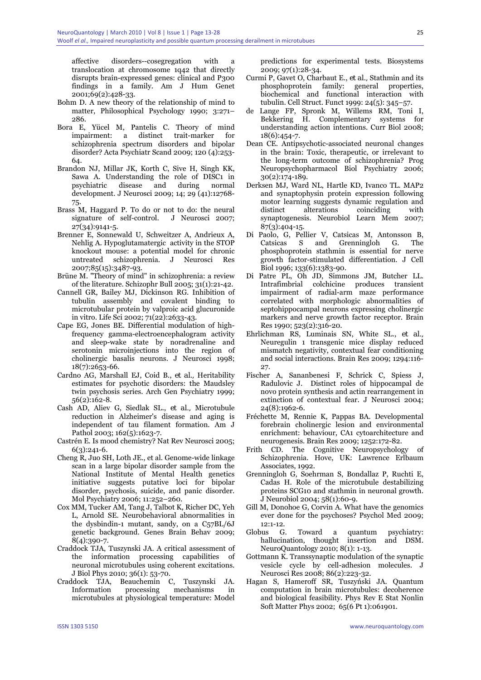affective disorders--cosegregation with a translocation at chromosome 1q42 that directly disrupts brain-expressed genes: clinical and P300 findings in a family. Am J Hum Genet 2001;69(2):428-33.

- Bohm D. A new theory of the relationship of mind to matter, Philosophical Psychology 1990; 3:271– 286.
- Bora E, Yücel M, Pantelis C. Theory of mind impairment: a distinct trait-marker for schizophrenia spectrum disorders and bipolar disorder? Acta Psychiatr Scand 2009; 120 (4):253- 64.
- Brandon NJ, Millar JK, Korth C, Sive H, Singh KK, Sawa A. Understanding the role of DISC1 in psychiatric disease and during normal development. J Neurosci 2009; 14; 29 (41):12768- 75.
- Brass M, Haggard P. To do or not to do: the neural signature of self-control. J Neurosci 2007; 27(34):9141-5.
- Brenner E, Sonnewald U, Schweitzer A, Andrieux A, Nehlig A. Hypoglutamatergic activity in the STOP knockout mouse: a potential model for chronic untreated schizophrenia. J Neurosci Res 2007;85(15):3487-93.
- Brüne M. "Theory of mind" in schizophrenia: a review of the literature. Schizophr Bull 2005; 31(1):21-42.
- Cannell GR, Bailey MJ, Dickinson RG. Inhibition of tubulin assembly and covalent binding to microtubular protein by valproic acid glucuronide in vitro. Life Sci 2002; 71(22):2633-43.
- Cape EG, Jones BE. Differential modulation of highfrequency gamma-electroencephalogram activity and sleep-wake state by noradrenaline and serotonin microinjections into the region of cholinergic basalis neurons. J Neurosci 1998; 18(7):2653-66.
- Cardno AG, Marshall EJ, Coid B., *et al.,* Heritability estimates for psychotic disorders: the Maudsley twin psychosis series. Arch Gen Psychiatry 1999; 56(2):162-8.
- Cash AD, Aliev G, Siedlak SL., *et al.,* Microtubule reduction in Alzheimer's disease and aging is independent of tau filament formation. Am J Pathol 2003; 162(5):1623-7.
- Castrén E. Is mood chemistry? Nat Rev Neurosci 2005;  $6(3):241-6.$
- Cheng R, Juo SH, Loth JE., et al. Genome-wide linkage scan in a large bipolar disorder sample from the National Institute of Mental Health genetics initiative suggests putative loci for bipolar disorder, psychosis, suicide, and panic disorder. Mol Psychiatry 2006; 11:252–260.
- Cox MM, Tucker AM, Tang J, Talbot K, Richer DC, Yeh L, Arnold SE. Neurobehavioral abnormalities in the dysbindin-1 mutant, sandy, on a C57BL/6J genetic background. Genes Brain Behav 2009; 8(4):390-7.
- Craddock TJA, Tuszynski JA. A critical assessment of the information processing capabilities of neuronal microtubules using coherent excitations. J Biol Phys 2010; 36(1): 53-70.
- Craddock TJA, Beauchemin C, Tuszynski JA. Information processing mechanisms in microtubules at physiological temperature: Model

predictions for experimental tests. Biosystems 2009; 97(1):28-34.

- Curmi P, Gavet O, Charbaut E., *et al.,* Stathmin and its phosphoprotein family: general properties, biochemical and functional interaction with tubulin. Cell Struct. Funct 1999: 24(5): 345–57.
- de Lange FP, Spronk M, Willems RM, Toni I, Bekkering H. Complementary systems for understanding action intentions. Curr Biol 2008; 18(6):454-7.
- Dean CE. Antipsychotic-associated neuronal changes in the brain: Toxic, therapeutic, or irrelevant to the long-term outcome of schizophrenia? Prog Neuropsychopharmacol Biol Psychiatry 2006; 30(2):174-189.
- Derksen MJ, Ward NL, Hartle KD, Ivanco TL. MAP2 and synaptophysin protein expression following motor learning suggests dynamic regulation and distinct alterations coinciding with synaptogenesis. Neurobiol Learn Mem 2007; 87(3):404-15.
- Di Paolo, G, Pellier V, Catsicas M, Antonsson B, Catsicas S and Grenningloh G. The phosphoprotein stathmin is essential for nerve growth factor-stimulated differentiation. J Cell Biol 1996; 133(6):1383-90.
- Di Patre PL, Oh JD, Simmons JM, Butcher LL. Intrafimbrial colchicine produces transient impairment of radial-arm maze performance correlated with morphologic abnormalities of septohippocampal neurons expressing cholinergic markers and nerve growth factor receptor. Brain Res 1990; 523(2):316-20.
- Ehrlichman RS, Luminais SN, White SL., *et al.,* Neuregulin 1 transgenic mice display reduced mismatch negativity, contextual fear conditioning and social interactions. Brain Res 2009; 1294:116- 27.
- Fischer A, Sananbenesi F, Schrick C, Spiess J, Radulovic J. Distinct roles of hippocampal de novo protein synthesis and actin rearrangement in extinction of contextual fear. J Neurosci 2004; 24(8):1962-6.
- Fréchette M, Rennie K, Pappas BA. Developmental forebrain cholinergic lesion and environmental enrichment: behaviour, CA1 cytoarchitecture and neurogenesis. Brain Res 2009; 1252:172-82.
- Frith CD. The Cognitive Neuropsychology of Schizophrenia. Hove, UK: Lawrence Erlbaum Associates, 1992.
- Grenningloh G, Soehrman S, Bondallaz P, Ruchti E, Cadas H. Role of the microtubule destabilizing proteins SCG10 and stathmin in neuronal growth. J Neurobiol 2004; 58(1):60-9.
- Gill M, Donohoe G, Corvin A. What have the genomics ever done for the psychoses? Psychol Med 2009; 12:1-12.
- Globus G. Toward a quantum psychiatry: hallucination, thought insertion and DSM. NeuroQuantology 2010; 8(1): 1-13.
- Gottmann K. Transsynaptic modulation of the synaptic vesicle cycle by cell-adhesion molecules. J Neurosci Res 2008; 86(2):223-32.
- Hagan S, Hameroff SR, Tuszyński JA. Quantum computation in brain microtubules: decoherence and biological feasibility. Phys Rev E Stat Nonlin Soft Matter Phys 2002; 65(6 Pt 1):061901.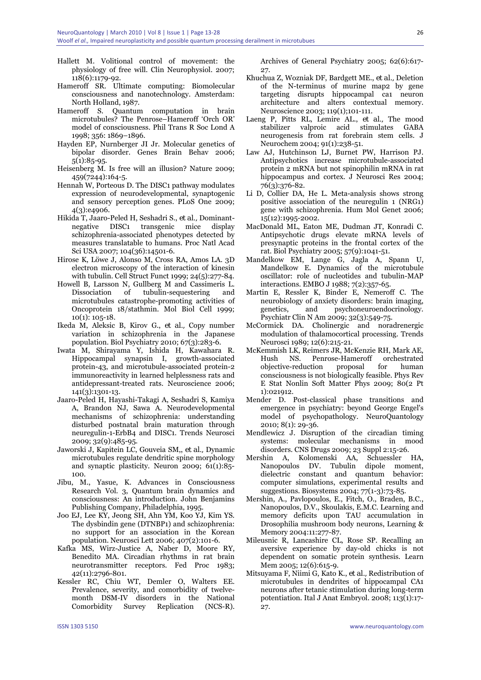- Hallett M. Volitional control of movement: the physiology of free will. Clin Neurophysiol. 2007; 118(6):1179-92.
- Hameroff SR. Ultimate computing: Biomolecular consciousness and nanotechnology. Amsterdam: North Holland, 1987.
- Hameroff S. Quantum computation in brain microtubules? The Penrose–Hameroff 'Orch OR' model of consciousness. Phil Trans R Soc Lond A 1998; 356: 1869–1896.
- Hayden EP, Nurnberger JI Jr. Molecular genetics of bipolar disorder. Genes Brain Behav 2006; 5(1):85-95.
- Heisenberg M. Is free will an illusion? Nature 2009; 459(7244):164-5.
- Hennah W, Porteous D. The DISC1 pathway modulates expression of neurodevelopmental, synaptogenic and sensory perception genes. PLoS One 2009; 4(3):e4906.
- Hikida T, Jaaro-Peled H, Seshadri S., *et al.,* Dominantnegative DISC1 transgenic mice display schizophrenia-associated phenotypes detected by measures translatable to humans. Proc Natl Acad Sci USA 2007; 104(36):14501-6.
- Hirose K, Löwe J, Alonso M, Cross RA, Amos LA. 3D electron microscopy of the interaction of kinesin with tubulin. Cell Struct Funct 1999; 24(5):277-84.
- Howell B, Larsson N, Gullberg M and Cassimeris L. Dissociation of tubulin-sequestering and microtubules catastrophe-promoting activities of Oncoprotein 18/stathmin. Mol Biol Cell 1999; 10(1): 105-18.
- Ikeda M, Aleksic B, Kirov G., *et al.,* Copy number variation in schizophrenia in the Japanese population. Biol Psychiatry 2010; 67(3):283-6.
- Iwata M, Shirayama Y, Ishida H, Kawahara R. Hippocampal synapsin I, growth-associated protein-43, and microtubule-associated protein-2 immunoreactivity in learned helplessness rats and antidepressant-treated rats. Neuroscience 2006; 141(3):1301-13.
- Jaaro-Peled H, Hayashi-Takagi A, Seshadri S, Kamiya A, Brandon NJ, Sawa A. Neurodevelopmental mechanisms of schizophrenia: understanding disturbed postnatal brain maturation through neuregulin-1-ErbB4 and DISC1. Trends Neurosci 2009; 32(9):485-95.
- Jaworski J, Kapitein LC, Gouveia SM,, *et al.,* Dynamic microtubules regulate dendritic spine morphology and synaptic plasticity. Neuron 2009; 61(1):85- 100.
- Jibu, M., Yasue, K. Advances in Consciousness Research Vol. 3, Quantum brain dynamics and consciousness: An introduction. John Benjamins Publishing Company, Philadelphia, 1995.
- Joo EJ, Lee KY, Jeong SH, Ahn YM, Koo YJ, Kim YS. The dysbindin gene (DTNBP1) and schizophrenia: no support for an association in the Korean population. Neurosci Lett 2006; 407(2):101-6.
- Kafka MS, Wirz-Justice A, Naber D, Moore RY, Benedito MA. Circadian rhythms in rat brain neurotransmitter receptors. Fed Proc 1983; 42(11):2796-801.
- Kessler RC, Chiu WT, Demler O, Walters EE. Prevalence, severity, and comorbidity of twelvemonth DSM-IV disorders in the National Comorbidity Survey Replication (NCS-R).

Archives of General Psychiatry 2005; 62(6):617- 27.

- Khuchua Z, Wozniak DF, Bardgett ME., *et al.,* Deletion of the N-terminus of murine map2 by gene targeting disrupts hippocampal ca1 neuron architecture and alters contextual memory. Neuroscience 2003; 119(1);101-111.
- Laeng P, Pitts RL, Lemire AL., *et al.,* The mood stabilizer valproic acid stimulates GABA neurogenesis from rat forebrain stem cells. J Neurochem 2004; 91(1):238-51.
- Law AJ, Hutchinson LJ, Burnet PW, Harrison PJ. Antipsychotics increase microtubule-associated protein 2 mRNA but not spinophilin mRNA in rat hippocampus and cortex. J Neurosci Res 2004: 76(3):376-82.
- Li D, Collier DA, He L. Meta-analysis shows strong positive association of the neuregulin 1 (NRG1) gene with schizophrenia. Hum Mol Genet 2006; 15(12):1995-2002.
- MacDonald ML, Eaton ME, Dudman JT, Konradi C. Antipsychotic drugs elevate mRNA levels of presynaptic proteins in the frontal cortex of the rat. Biol Psychiatry 2005; 57(9):1041-51.
- Mandelkow EM, Lange G, Jagla A, Spann U, Mandelkow E. Dynamics of the microtubule oscillator: role of nucleotides and tubulin-MAP interactions. EMBO J 1988; 7(2):357-65.
- Martin E, Ressler K, Binder E, Nemeroff C. The neurobiology of anxiety disorders: brain imaging, genetics, and psychoneuroendocrinology. Psychiatr Clin N Am 2009; 32(3):549-75.
- McCormick DA. Cholinergic and noradrenergic modulation of thalamocortical processing. Trends Neurosci 1989; 12(6):215-21.
- McKemmish LK, Reimers JR, McKenzie RH, Mark AE, Hush NS. Penrose-Hameroff objective-reduction proposal for human consciousness is not biologically feasible. Phys Rev E Stat Nonlin Soft Matter Phys 2009; 80(2 Pt 1):021912.
- Mender D. Post-classical phase transitions and emergence in psychiatry: beyond George Engel's model of psychopathology. NeuroQuantology 2010; 8(1): 29-36.
- Mendlewicz J. Disruption of the circadian timing systems: molecular mechanisms in mood disorders. CNS Drugs 2009; 23 Suppl 2:15-26.
- Mershin A, Kolomenski AA, Schuessler HA, Nanopoulos DV. Tubulin dipole moment, dielectric constant and quantum behavior: computer simulations, experimental results and suggestions. Biosystems 2004; 77(1-3):73-85.
- Mershin, A., Pavlopoulos, E., Fitch, O., Braden, B.C., Nanopoulos, D.V., Skoulakis, E.M.C. Learning and memory deficits upon TAU accumulation in Drosophilia mushroom body neurons, Learning & Memory 2004:11:277-87.
- Mileusnic R, Lancashire CL, Rose SP. Recalling an aversive experience by day-old chicks is not dependent on somatic protein synthesis. Learn Mem 2005; 12(6):615-9.
- Mitsuyama F, Niimi G, Kato K., *et al.,* Redistribution of microtubules in dendrites of hippocampal CA1 neurons after tetanic stimulation during long-term potentiation. Ital J Anat Embryol. 2008; 113(1):17- 27.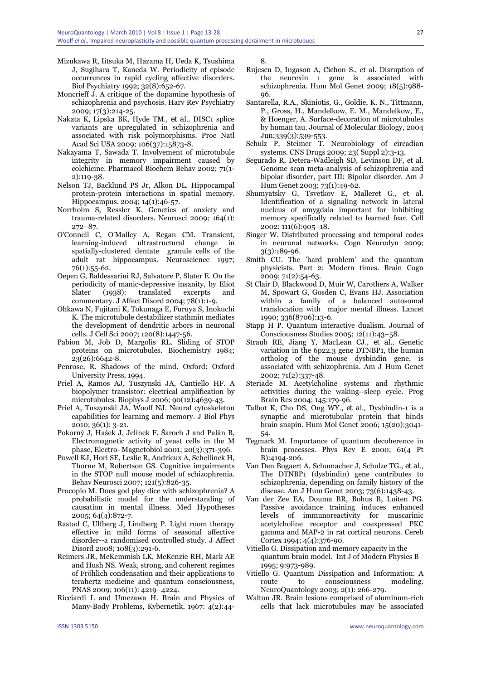- Mizukawa R, Iitsuka M, Hazama H, Ueda K, Tsushima J, Sugihara T, Kaneda W. Periodicity of episode occurrences in rapid cycling affective disorders. Biol Psychiatry 1992; 32(8):652-67.
- Moncrieff J. A critique of the dopamine hypothesis of schizophrenia and psychosis. Harv Rev Psychiatry 2009; 17(3):214-25.
- Nakata K, Lipska BK, Hyde TM., *et al.,* DISC1 splice variants are upregulated in schizophrenia and associated with risk polymorphisms. Proc Natl Acad Sci USA 2009; 106(37):15873-8.
- Nakayama T, Sawada T. Involvement of microtubule integrity in memory impairment caused by colchicine. Pharmacol Biochem Behav 2002; 71(1- 2):119-38.
- Nelson TJ, Backlund PS Jr, Alkon DL. Hippocampal protein-protein interactions in spatial memory. Hippocampus. 2004; 14(1):46-57.
- Norrholm S, Ressler K. Genetics of anxiety and trauma-related disorders. Neurosci 2009; 164(1): 272–87.
- O'Connell C, O'Malley A, Regan CM. Transient, learning-induced ultrastructural change in spatially-clustered dentate granule cells of the adult rat hippocampus. Neuroscience 1997; 76(1):55-62.
- Oepen G, Baldessarini RJ, Salvatore P, Slater E. On the periodicity of manic-depressive insanity, by Eliot Slater (1938): translated excerpts and commentary. J Affect Disord 2004; 78(1):1-9.
- Ohkawa N, Fujitani K, Tokunaga E, Furuya S, Inokuchi K. The microtubule destabilizer stathmin mediates the development of dendritic arbors in neuronal cells. J Cell Sci 2007; 120(8):1447-56.
- Pabion M, Job D, Margolis RL. Sliding of STOP proteins on microtubules. Biochemistry 1984;  $23(26):6642-8.$
- Penrose, R. Shadows of the mind. Oxford: Oxford University Press, 1994.
- Priel A, Ramos AJ, Tuszynski JA, Cantiello HF. A biopolymer transistor: electrical amplification by microtubules. Biophys J 2006; 90(12):4639-43.
- Priel A, Tuszynski JA, Woolf NJ. Neural cytoskeleton capabilities for learning and memory. J Biol Phys 2010; 36(1): 3-21.
- Pokorný J, Hašek J, Jelínek F, Šaroch J and Palán B, Electromagnetic activity of yeast cells in the M phase, Electro- Magnetobiol 2001; 20(3):371-396.
- Powell KJ, Hori SE, Leslie R, Andrieux A, Schellinck H, Thorne M, Robertson GS. Cognitive impairments in the STOP null mouse model of schizophrenia. Behav Neurosci 2007; 121(5):826-35.
- Procopio M. Does god play dice with schizophrenia? A probabilistic model for the understanding of causation in mental illness. Med Hypotheses 2005; 64(4):872-7.
- Rastad C, Ulfberg J, Lindberg P. Light room therapy effective in mild forms of seasonal affective disorder--a randomised controlled study. J Affect Disord 2008; 108(3):291-6.
- Reimers JR, McKemmish LK, McKenzie RH, Mark AE and Hush NS. Weak, strong, and coherent regimes of Fröhlich condensation and their applications to terahertz medicine and quantum consciousness, PNAS 2009; 106(11): 4219–4224.
- Ricciardi L and Umezawa H. Brain and Physics of Many-Body Problems, Kybernetik, 1967: 4(2):44-

8.

- Rujescu D, Ingason A, Cichon S., et al. Disruption of the neurexin 1 gene is associated with schizophrenia. Hum Mol Genet 2009; 18(5):988- 96.
- Santarella, R.A., Skiniotis, G., Goldie, K. N., Tittmann, P., Gross, H., Mandelkow, E. M., Mandelkow, E., & Hoenger, A. Surface-decoration of microtubules by human tau. Journal of Molecular Biology, 2004 Jun;339(3):539-553.
- Schulz P, Steimer T. Neurobiology of circadian systems. CNS Drugs 2009; 23( Suppl 2):3-13.
- Segurado R, Detera-Wadleigh SD, Levinson DF, et al. Genome scan meta-analysis of schizophrenia and bipolar disorder, part III: Bipolar disorder. Am J Hum Genet 2003; 73(1):49-62.
- Shumyatsky G, Tsvetkov E, Malleret G., et al. Identification of a signaling network in lateral nucleus of amygdala important for inhibiting memory specifically related to learned fear. Cell 2002: 111(6):905–18.
- Singer W. Distributed processing and temporal codes in neuronal networks. Cogn Neurodyn 2009; 3(3):189-96.
- Smith CU. The 'hard problem' and the quantum physicists. Part 2: Modern times. Brain Cogn 2009; 71(2):54-63.
- St Clair D, Blackwood D, Muir W, Carothers A, Walker M, Spowart G, Gosden C, Evans HJ. Association within a family of a balanced autosomal translocation with major mental illness. Lancet 1990; 336(8706):13-6.
- Stapp H P. Quantum interactive dualism. Journal of Consciousness Studies 2005; 12(11):43–58.
- Straub RE, Jiang Y, MacLean CJ., *et al.,* Genetic variation in the 6p22.3 gene DTNBP1, the human ortholog of the mouse dysbindin gene, is associated with schizophrenia. Am J Hum Genet 2002; 71(2):337-48.
- Steriade M. Acetylcholine systems and rhythmic activities during the waking--sleep cycle. Prog Brain Res 2004; 145:179-96.
- Talbot K, Cho DS, Ong WY., *et al.,* Dysbindin-1 is a synaptic and microtubular protein that binds brain snapin. Hum Mol Genet 2006; 15(20):3041- 54.
- Tegmark M. Importance of quantum decoherence in brain processes. Phys Rev E 2000; 61(4 Pt B):4194-206.
- Van Den Bogaert A, Schumacher J, Schulze TG., *et al.,* The DTNBP1 (dysbindin) gene contributes to schizophrenia, depending on family history of the disease. Am J Hum Genet 2003; 73(6):1438-43.
- Van der Zee EA, Douma BR, Bohus B, Luiten PG. Passive avoidance training induces enhanced levels of immunoreactivity for muscarinic acetylcholine receptor and coexpressed PKC gamma and MAP-2 in rat cortical neurons. Cereb Cortex 1994; 4(4):376-90.
- Vitiello G. Dissipation and memory capacity in the quantum brain model. Int J of Modern Physics B 1995; 9:973-989.
- Vitiello G. Quantum Dissipation and Information: A route to consciousness modeling. NeuroQuantology 2003; 2(1): 266-279.
- Walton JR. Brain lesions comprised of aluminum-rich cells that lack microtubules may be associated